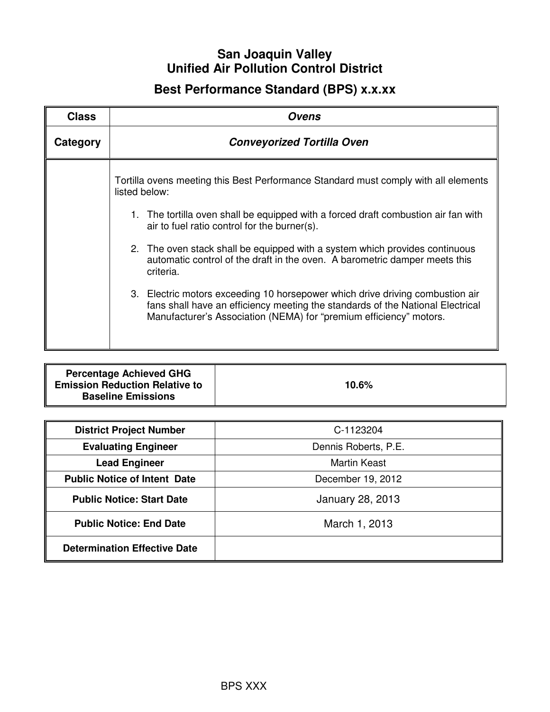## **San Joaquin Valley Unified Air Pollution Control District**

# **Best Performance Standard (BPS) x.x.xx**

| <b>Class</b> | Ovens                                                                                                                                                                                                                                 |  |
|--------------|---------------------------------------------------------------------------------------------------------------------------------------------------------------------------------------------------------------------------------------|--|
| Category     | <b>Conveyorized Tortilla Oven</b>                                                                                                                                                                                                     |  |
|              | Tortilla ovens meeting this Best Performance Standard must comply with all elements<br>listed below:                                                                                                                                  |  |
|              | 1. The tortilla oven shall be equipped with a forced draft combustion air fan with<br>air to fuel ratio control for the burner(s).                                                                                                    |  |
|              | 2. The oven stack shall be equipped with a system which provides continuous<br>automatic control of the draft in the oven. A barometric damper meets this<br>criteria.                                                                |  |
|              | 3. Electric motors exceeding 10 horsepower which drive driving combustion air<br>fans shall have an efficiency meeting the standards of the National Electrical<br>Manufacturer's Association (NEMA) for "premium efficiency" motors. |  |

| <b>District Project Number</b>      | C-1123204               |
|-------------------------------------|-------------------------|
| <b>Evaluating Engineer</b>          | Dennis Roberts, P.E.    |
| <b>Lead Engineer</b>                | <b>Martin Keast</b>     |
| <b>Public Notice of Intent Date</b> | December 19, 2012       |
| <b>Public Notice: Start Date</b>    | <b>January 28, 2013</b> |
| <b>Public Notice: End Date</b>      | March 1, 2013           |
| <b>Determination Effective Date</b> |                         |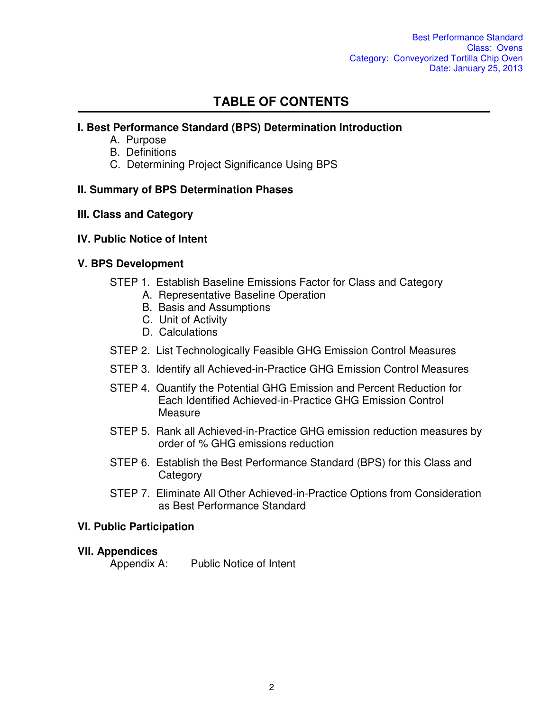## **TABLE OF CONTENTS**

### **l. Best Performance Standard (BPS) Determination Introduction**

- A. Purpose
- B. Definitions
- C. Determining Project Significance Using BPS

### **II. Summary of BPS Determination Phases**

### **lll. Class and Category**

### **lV. Public Notice of Intent**

### **V. BPS Development**

- STEP 1. Establish Baseline Emissions Factor for Class and Category
	- A. Representative Baseline Operation
	- B. Basis and Assumptions
	- C. Unit of Activity
	- D. Calculations
- STEP 2. List Technologically Feasible GHG Emission Control Measures
- STEP 3. Identify all Achieved-in-Practice GHG Emission Control Measures
- STEP 4. Quantify the Potential GHG Emission and Percent Reduction for Each Identified Achieved-in-Practice GHG Emission Control **Measure**
- STEP 5. Rank all Achieved-in-Practice GHG emission reduction measures by order of % GHG emissions reduction
- STEP 6. Establish the Best Performance Standard (BPS) for this Class and **Category**
- STEP 7. Eliminate All Other Achieved-in-Practice Options from Consideration as Best Performance Standard

#### **Vl. Public Participation**

#### **Vll. Appendices**

Appendix A: Public Notice of Intent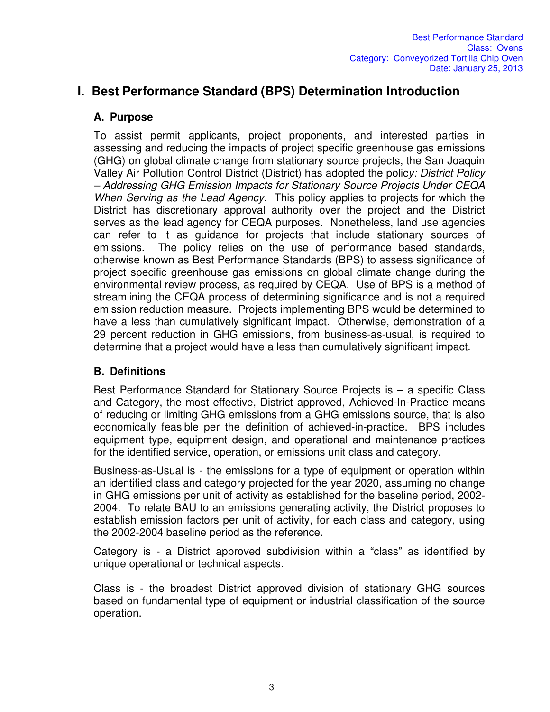## **I. Best Performance Standard (BPS) Determination Introduction**

### **A. Purpose**

To assist permit applicants, project proponents, and interested parties in assessing and reducing the impacts of project specific greenhouse gas emissions (GHG) on global climate change from stationary source projects, the San Joaquin Valley Air Pollution Control District (District) has adopted the polic*y: District Policy – Addressing GHG Emission Impacts for Stationary Source Projects Under CEQA When Serving as the Lead Agency.* This policy applies to projects for which the District has discretionary approval authority over the project and the District serves as the lead agency for CEQA purposes. Nonetheless, land use agencies can refer to it as guidance for projects that include stationary sources of emissions. The policy relies on the use of performance based standards, otherwise known as Best Performance Standards (BPS) to assess significance of project specific greenhouse gas emissions on global climate change during the environmental review process, as required by CEQA. Use of BPS is a method of streamlining the CEQA process of determining significance and is not a required emission reduction measure. Projects implementing BPS would be determined to have a less than cumulatively significant impact. Otherwise, demonstration of a 29 percent reduction in GHG emissions, from business-as-usual, is required to determine that a project would have a less than cumulatively significant impact.

## **B. Definitions**

Best Performance Standard for Stationary Source Projects is – a specific Class and Category, the most effective, District approved, Achieved-In-Practice means of reducing or limiting GHG emissions from a GHG emissions source, that is also economically feasible per the definition of achieved-in-practice. BPS includes equipment type, equipment design, and operational and maintenance practices for the identified service, operation, or emissions unit class and category.

Business-as-Usual is - the emissions for a type of equipment or operation within an identified class and category projected for the year 2020, assuming no change in GHG emissions per unit of activity as established for the baseline period, 2002- 2004. To relate BAU to an emissions generating activity, the District proposes to establish emission factors per unit of activity, for each class and category, using the 2002-2004 baseline period as the reference.

Category is - a District approved subdivision within a "class" as identified by unique operational or technical aspects.

Class is - the broadest District approved division of stationary GHG sources based on fundamental type of equipment or industrial classification of the source operation.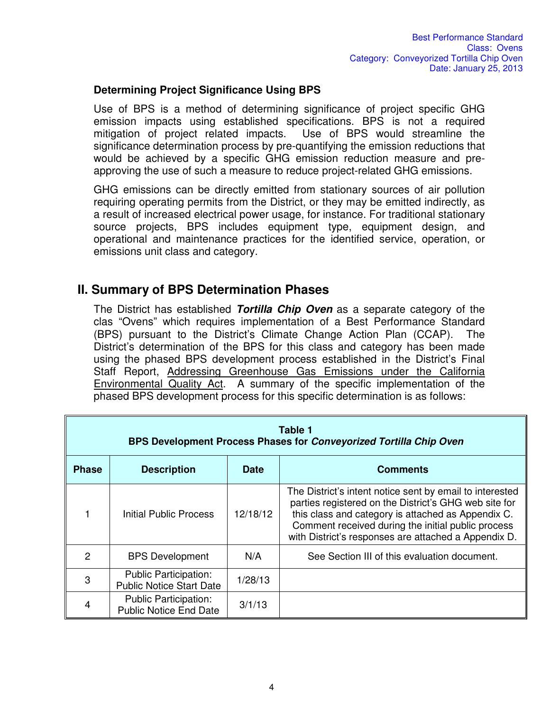#### **Determining Project Significance Using BPS**

Use of BPS is a method of determining significance of project specific GHG emission impacts using established specifications. BPS is not a required mitigation of project related impacts. Use of BPS would streamline the significance determination process by pre-quantifying the emission reductions that would be achieved by a specific GHG emission reduction measure and preapproving the use of such a measure to reduce project-related GHG emissions.

GHG emissions can be directly emitted from stationary sources of air pollution requiring operating permits from the District, or they may be emitted indirectly, as a result of increased electrical power usage, for instance. For traditional stationary source projects, BPS includes equipment type, equipment design, and operational and maintenance practices for the identified service, operation, or emissions unit class and category.

## **II. Summary of BPS Determination Phases**

The District has established *Tortilla Chip Oven* as a separate category of the clas "Ovens" which requires implementation of a Best Performance Standard (BPS) pursuant to the District's Climate Change Action Plan (CCAP). The District's determination of the BPS for this class and category has been made using the phased BPS development process established in the District's Final Staff Report, Addressing Greenhouse Gas Emissions under the California Environmental Quality Act. A summary of the specific implementation of the phased BPS development process for this specific determination is as follows:

| Table 1<br>BPS Development Process Phases for Conveyorized Tortilla Chip Oven |                                                                 |             |                                                                                                                                                                                                                                                                                       |
|-------------------------------------------------------------------------------|-----------------------------------------------------------------|-------------|---------------------------------------------------------------------------------------------------------------------------------------------------------------------------------------------------------------------------------------------------------------------------------------|
| <b>Phase</b>                                                                  | <b>Description</b>                                              | <b>Date</b> | <b>Comments</b>                                                                                                                                                                                                                                                                       |
|                                                                               | Initial Public Process                                          | 12/18/12    | The District's intent notice sent by email to interested<br>parties registered on the District's GHG web site for<br>this class and category is attached as Appendix C.<br>Comment received during the initial public process<br>with District's responses are attached a Appendix D. |
| 2                                                                             | <b>BPS Development</b>                                          | N/A         | See Section III of this evaluation document.                                                                                                                                                                                                                                          |
| 3                                                                             | <b>Public Participation:</b><br><b>Public Notice Start Date</b> | 1/28/13     |                                                                                                                                                                                                                                                                                       |
|                                                                               | <b>Public Participation:</b><br><b>Public Notice End Date</b>   | 3/1/13      |                                                                                                                                                                                                                                                                                       |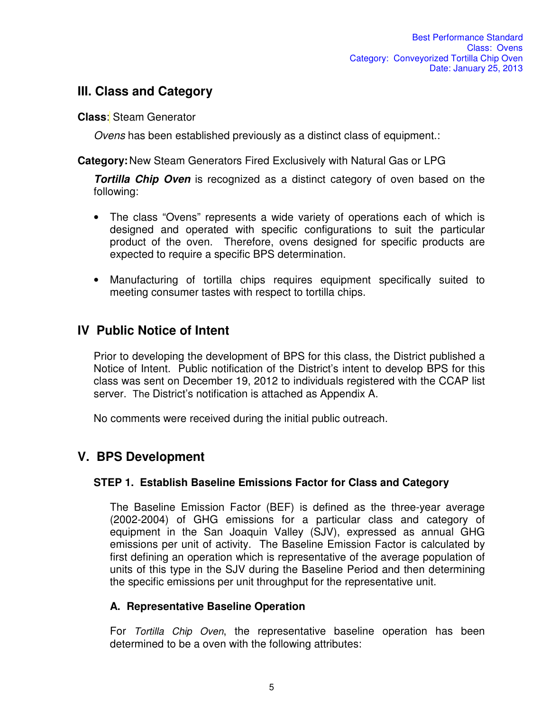## **III. Class and Category**

**Class**: Steam Generator

*Ovens* has been established previously as a distinct class of equipment.:

**Category:** New Steam Generators Fired Exclusively with Natural Gas or LPG

*Tortilla Chip Oven* is recognized as a distinct category of oven based on the following:

- The class "Ovens" represents a wide variety of operations each of which is designed and operated with specific configurations to suit the particular product of the oven. Therefore, ovens designed for specific products are expected to require a specific BPS determination.
- Manufacturing of tortilla chips requires equipment specifically suited to meeting consumer tastes with respect to tortilla chips.

## **IV Public Notice of Intent**

Prior to developing the development of BPS for this class, the District published a Notice of Intent. Public notification of the District's intent to develop BPS for this class was sent on December 19, 2012 to individuals registered with the CCAP list server. The District's notification is attached as Appendix A.

No comments were received during the initial public outreach.

## **V. BPS Development**

## **STEP 1. Establish Baseline Emissions Factor for Class and Category**

The Baseline Emission Factor (BEF) is defined as the three-year average (2002-2004) of GHG emissions for a particular class and category of equipment in the San Joaquin Valley (SJV), expressed as annual GHG emissions per unit of activity. The Baseline Emission Factor is calculated by first defining an operation which is representative of the average population of units of this type in the SJV during the Baseline Period and then determining the specific emissions per unit throughput for the representative unit.

## **A. Representative Baseline Operation**

For *Tortilla Chip Oven*, the representative baseline operation has been determined to be a oven with the following attributes: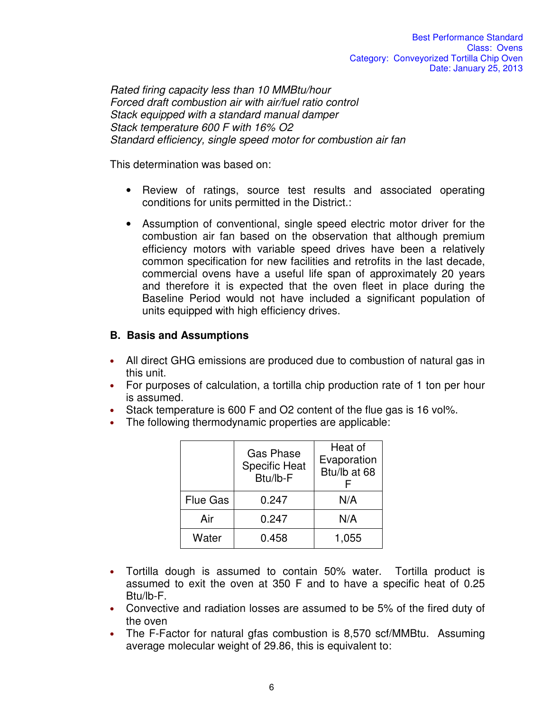*Rated firing capacity less than 10 MMBtu/hour Forced draft combustion air with air/fuel ratio control Stack equipped with a standard manual damper Stack temperature 600 F with 16% O2 Standard efficiency, single speed motor for combustion air fan* 

This determination was based on:

- Review of ratings, source test results and associated operating conditions for units permitted in the District.:
- Assumption of conventional, single speed electric motor driver for the combustion air fan based on the observation that although premium efficiency motors with variable speed drives have been a relatively common specification for new facilities and retrofits in the last decade, commercial ovens have a useful life span of approximately 20 years and therefore it is expected that the oven fleet in place during the Baseline Period would not have included a significant population of units equipped with high efficiency drives.

#### **B. Basis and Assumptions**

- All direct GHG emissions are produced due to combustion of natural gas in this unit.
- For purposes of calculation, a tortilla chip production rate of 1 ton per hour is assumed.
- Stack temperature is 600 F and O2 content of the flue gas is 16 vol%.
- The following thermodynamic properties are applicable:

|                 | <b>Gas Phase</b><br><b>Specific Heat</b><br>Btu/lb-F | Heat of<br>Evaporation<br>Btu/lb at 68 |
|-----------------|------------------------------------------------------|----------------------------------------|
| <b>Flue Gas</b> | 0.247                                                | N/A                                    |
| Air             | 0.247                                                | N/A                                    |
| Water           | 0.458                                                | 1,055                                  |

- Tortilla dough is assumed to contain 50% water. Tortilla product is assumed to exit the oven at 350 F and to have a specific heat of 0.25 Btu/lb-F.
- Convective and radiation losses are assumed to be 5% of the fired duty of the oven
- The F-Factor for natural gfas combustion is 8,570 scf/MMBtu. Assuming average molecular weight of 29.86, this is equivalent to: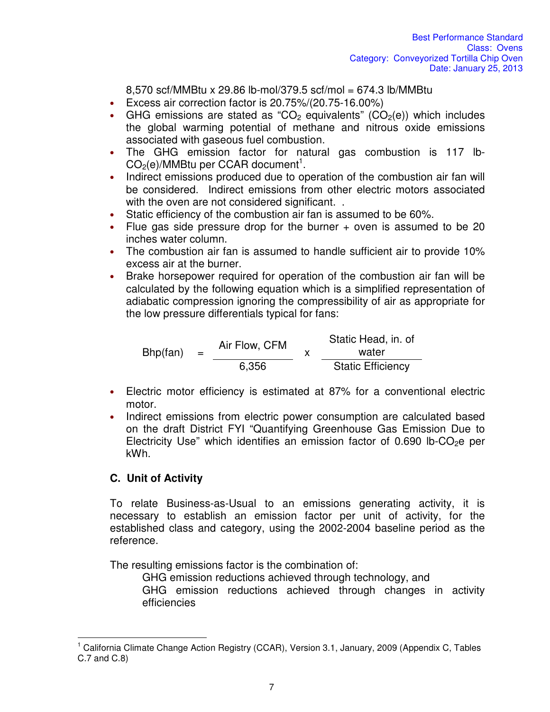8,570 scf/MMBtu x 29.86 lb-mol/379.5 scf/mol = 674.3 lb/MMBtu

- Excess air correction factor is 20.75%/(20.75-16.00%)
- GHG emissions are stated as "CO<sub>2</sub> equivalents" (CO<sub>2</sub>(e)) which includes the global warming potential of methane and nitrous oxide emissions associated with gaseous fuel combustion.
- The GHG emission factor for natural gas combustion is 117 lb- $CO<sub>2</sub>(e)/MMB$ tu per CCAR document<sup>1</sup>.
- Indirect emissions produced due to operation of the combustion air fan will be considered. Indirect emissions from other electric motors associated with the oven are not considered significant...
- Static efficiency of the combustion air fan is assumed to be 60%.
- Flue gas side pressure drop for the burner + oven is assumed to be 20 inches water column.
- The combustion air fan is assumed to handle sufficient air to provide 10% excess air at the burner.
- Brake horsepower required for operation of the combustion air fan will be calculated by the following equation which is a simplified representation of adiabatic compression ignoring the compressibility of air as appropriate for the low pressure differentials typical for fans:

 $Bhp(fan) =$ Air Flow, CFM  $\begin{array}{cc} x \end{array}$ Static Head, in. of water 6,356 Static Efficiency

- Electric motor efficiency is estimated at 87% for a conventional electric motor.
- Indirect emissions from electric power consumption are calculated based on the draft District FYI "Quantifying Greenhouse Gas Emission Due to Electricity Use" which identifies an emission factor of 0.690 lb-CO<sub>2</sub>e per kWh.

## **C. Unit of Activity**

 $\overline{\phantom{a}}$ 

To relate Business-as-Usual to an emissions generating activity, it is necessary to establish an emission factor per unit of activity, for the established class and category, using the 2002-2004 baseline period as the reference.

The resulting emissions factor is the combination of:

GHG emission reductions achieved through technology, and

GHG emission reductions achieved through changes in activity efficiencies

<sup>1</sup> California Climate Change Action Registry (CCAR), Version 3.1, January, 2009 (Appendix C, Tables C.7 and C.8)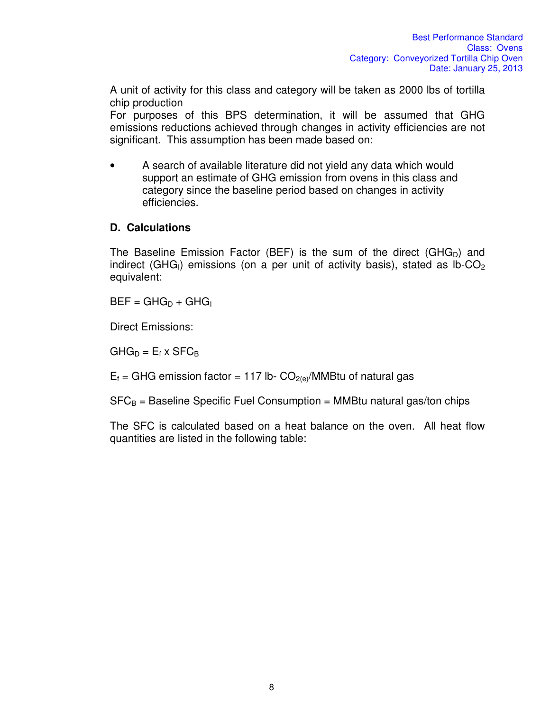A unit of activity for this class and category will be taken as 2000 lbs of tortilla chip production

For purposes of this BPS determination, it will be assumed that GHG emissions reductions achieved through changes in activity efficiencies are not significant. This assumption has been made based on:

• A search of available literature did not yield any data which would support an estimate of GHG emission from ovens in this class and category since the baseline period based on changes in activity efficiencies.

## **D. Calculations**

The Baseline Emission Factor (BEF) is the sum of the direct (GHG<sub>D</sub>) and indirect (GHG<sub>I</sub>) emissions (on a per unit of activity basis), stated as  $lb$ -CO<sub>2</sub> equivalent:

 $BEF = GHG_D + GHG$ 

Direct Emissions:

 $GHG_D = E_f \times SFC_B$ 

 $E_f$  = GHG emission factor = 117 lb-  $CO_{2(e)}/MMB$ tu of natural gas

 $SFC_B =$  Baseline Specific Fuel Consumption = MMBtu natural gas/ton chips

The SFC is calculated based on a heat balance on the oven. All heat flow quantities are listed in the following table: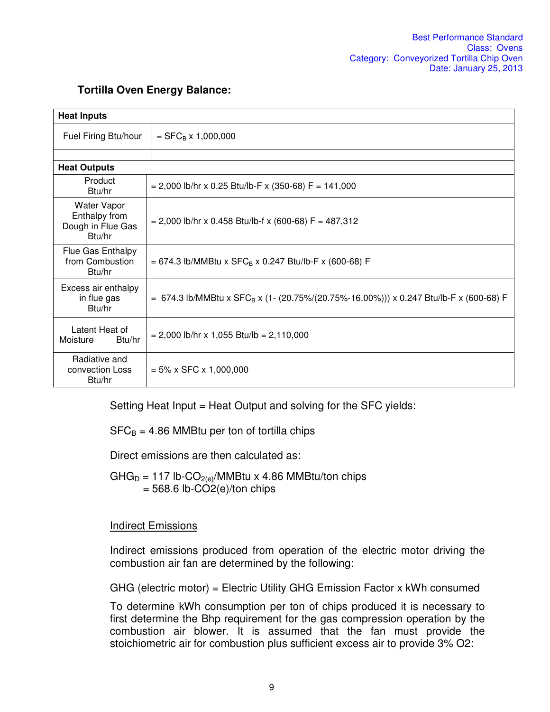| <b>Heat Inputs</b>                                                 |                                                                                                   |  |
|--------------------------------------------------------------------|---------------------------------------------------------------------------------------------------|--|
| Fuel Firing Btu/hour                                               | $=$ SFC <sub>B</sub> x 1,000,000                                                                  |  |
|                                                                    |                                                                                                   |  |
| <b>Heat Outputs</b>                                                |                                                                                                   |  |
| Product<br>Btu/hr                                                  | $= 2,000$ lb/hr x 0.25 Btu/lb-F x (350-68) F = 141,000                                            |  |
| <b>Water Vapor</b><br>Enthalpy from<br>Dough in Flue Gas<br>Btu/hr | $= 2,000$ lb/hr x 0.458 Btu/lb-f x (600-68) F = 487,312                                           |  |
| Flue Gas Enthalpy<br>from Combustion<br>Btu/hr                     | = 674.3 lb/MMBtu x $SFC_B$ x 0.247 Btu/lb-F x (600-68) F                                          |  |
| Excess air enthalpy<br>in flue gas<br>Btu/hr                       | = 674.3 lb/MMBtu x SFC <sub>B</sub> x (1- (20.75%/(20.75%-16.00%))) x 0.247 Btu/lb-F x (600-68) F |  |
| Latent Heat of<br>Moisture<br>Btu/hr                               | $= 2,000$ lb/hr x 1,055 Btu/lb = 2,110,000                                                        |  |
| Radiative and<br>convection Loss<br>Btu/hr                         | $= 5\% \times$ SFC $\times$ 1,000,000                                                             |  |

### **Tortilla Oven Energy Balance:**

Setting Heat Input = Heat Output and solving for the SFC yields:

 $SFC_B = 4.86$  MMBtu per ton of tortilla chips

Direct emissions are then calculated as:

 $GHG_D = 117$  lb-CO<sub>2(e)</sub>/MMBtu x 4.86 MMBtu/ton chips  $= 568.6$  lb-CO2(e)/ton chips

## Indirect Emissions

Indirect emissions produced from operation of the electric motor driving the combustion air fan are determined by the following:

GHG (electric motor) = Electric Utility GHG Emission Factor x kWh consumed

To determine kWh consumption per ton of chips produced it is necessary to first determine the Bhp requirement for the gas compression operation by the combustion air blower. It is assumed that the fan must provide the stoichiometric air for combustion plus sufficient excess air to provide 3% O2: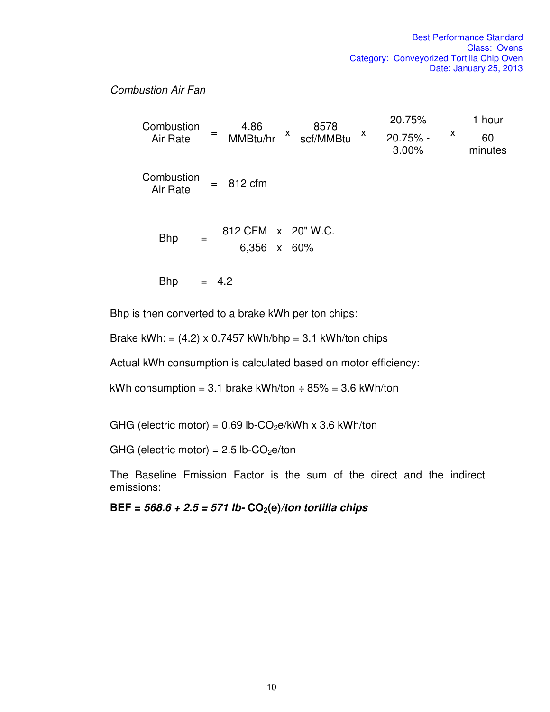#### *Combustion Air Fan*

| Combustion             | 4.86<br>8578                         | 20.75%                      | 1 hour        |
|------------------------|--------------------------------------|-----------------------------|---------------|
| Air Rate               | X<br>$=$<br>MMBtu/hr<br>scf/MMBtu    | X<br>X<br>20.75% -<br>3.00% | 60<br>minutes |
| Combustion<br>Air Rate | 812 cfm<br>$=$                       |                             |               |
| <b>Bhp</b>             | 812 CFM x 20" W.C.<br>6,356<br>x 60% |                             |               |
| <b>Bhp</b>             | 4.2                                  |                             |               |

Bhp is then converted to a brake kWh per ton chips:

Brake kWh: =  $(4.2) \times 0.7457$  kWh/bhp = 3.1 kWh/ton chips

Actual kWh consumption is calculated based on motor efficiency:

kWh consumption = 3.1 brake kWh/ton  $\div$  85% = 3.6 kWh/ton

GHG (electric motor) =  $0.69$  lb-CO<sub>2</sub>e/kWh x 3.6 kWh/ton

GHG (electric motor) =  $2.5$  lb-CO<sub>2</sub>e/ton

The Baseline Emission Factor is the sum of the direct and the indirect emissions:

**BEF =** *568.6 + 2.5 = 571 lb-* **CO2(e)***/ton tortilla chips*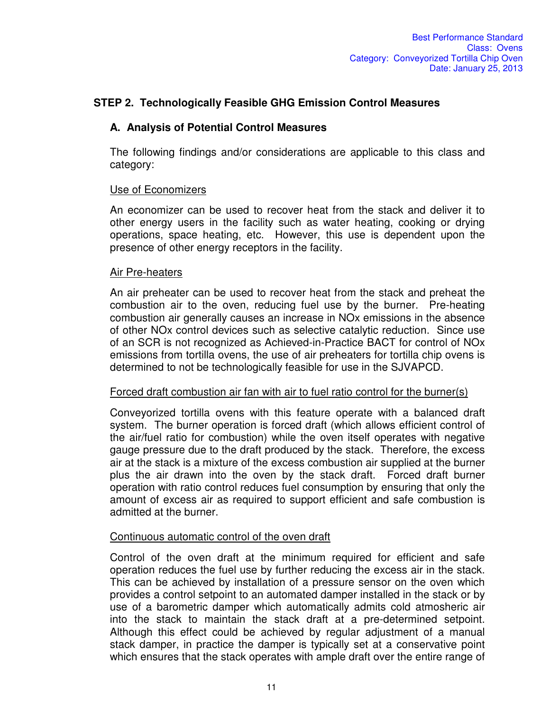## **STEP 2. Technologically Feasible GHG Emission Control Measures**

#### **A. Analysis of Potential Control Measures**

The following findings and/or considerations are applicable to this class and category:

#### Use of Economizers

An economizer can be used to recover heat from the stack and deliver it to other energy users in the facility such as water heating, cooking or drying operations, space heating, etc. However, this use is dependent upon the presence of other energy receptors in the facility.

#### Air Pre-heaters

An air preheater can be used to recover heat from the stack and preheat the combustion air to the oven, reducing fuel use by the burner. Pre-heating combustion air generally causes an increase in NOx emissions in the absence of other NOx control devices such as selective catalytic reduction. Since use of an SCR is not recognized as Achieved-in-Practice BACT for control of NOx emissions from tortilla ovens, the use of air preheaters for tortilla chip ovens is determined to not be technologically feasible for use in the SJVAPCD.

#### Forced draft combustion air fan with air to fuel ratio control for the burner(s)

Conveyorized tortilla ovens with this feature operate with a balanced draft system. The burner operation is forced draft (which allows efficient control of the air/fuel ratio for combustion) while the oven itself operates with negative gauge pressure due to the draft produced by the stack. Therefore, the excess air at the stack is a mixture of the excess combustion air supplied at the burner plus the air drawn into the oven by the stack draft. Forced draft burner operation with ratio control reduces fuel consumption by ensuring that only the amount of excess air as required to support efficient and safe combustion is admitted at the burner.

#### Continuous automatic control of the oven draft

Control of the oven draft at the minimum required for efficient and safe operation reduces the fuel use by further reducing the excess air in the stack. This can be achieved by installation of a pressure sensor on the oven which provides a control setpoint to an automated damper installed in the stack or by use of a barometric damper which automatically admits cold atmosheric air into the stack to maintain the stack draft at a pre-determined setpoint. Although this effect could be achieved by regular adjustment of a manual stack damper, in practice the damper is typically set at a conservative point which ensures that the stack operates with ample draft over the entire range of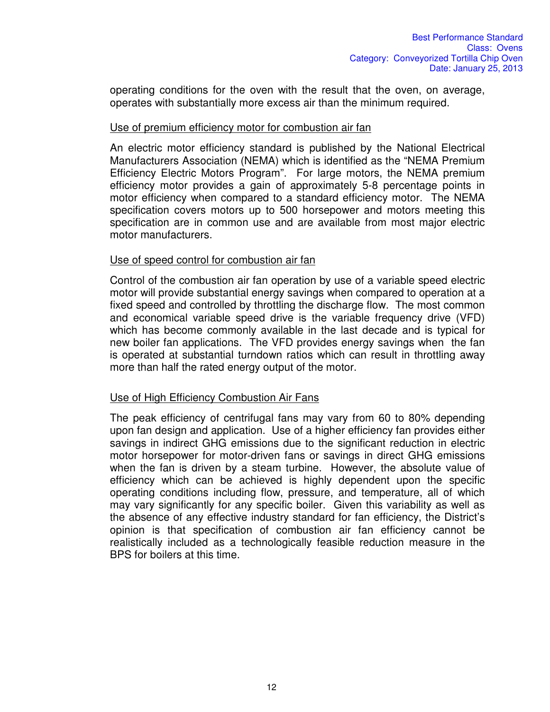operating conditions for the oven with the result that the oven, on average, operates with substantially more excess air than the minimum required.

#### Use of premium efficiency motor for combustion air fan

An electric motor efficiency standard is published by the National Electrical Manufacturers Association (NEMA) which is identified as the "NEMA Premium Efficiency Electric Motors Program". For large motors, the NEMA premium efficiency motor provides a gain of approximately 5-8 percentage points in motor efficiency when compared to a standard efficiency motor. The NEMA specification covers motors up to 500 horsepower and motors meeting this specification are in common use and are available from most major electric motor manufacturers.

#### Use of speed control for combustion air fan

Control of the combustion air fan operation by use of a variable speed electric motor will provide substantial energy savings when compared to operation at a fixed speed and controlled by throttling the discharge flow. The most common and economical variable speed drive is the variable frequency drive (VFD) which has become commonly available in the last decade and is typical for new boiler fan applications. The VFD provides energy savings when the fan is operated at substantial turndown ratios which can result in throttling away more than half the rated energy output of the motor.

#### Use of High Efficiency Combustion Air Fans

The peak efficiency of centrifugal fans may vary from 60 to 80% depending upon fan design and application. Use of a higher efficiency fan provides either savings in indirect GHG emissions due to the significant reduction in electric motor horsepower for motor-driven fans or savings in direct GHG emissions when the fan is driven by a steam turbine. However, the absolute value of efficiency which can be achieved is highly dependent upon the specific operating conditions including flow, pressure, and temperature, all of which may vary significantly for any specific boiler. Given this variability as well as the absence of any effective industry standard for fan efficiency, the District's opinion is that specification of combustion air fan efficiency cannot be realistically included as a technologically feasible reduction measure in the BPS for boilers at this time.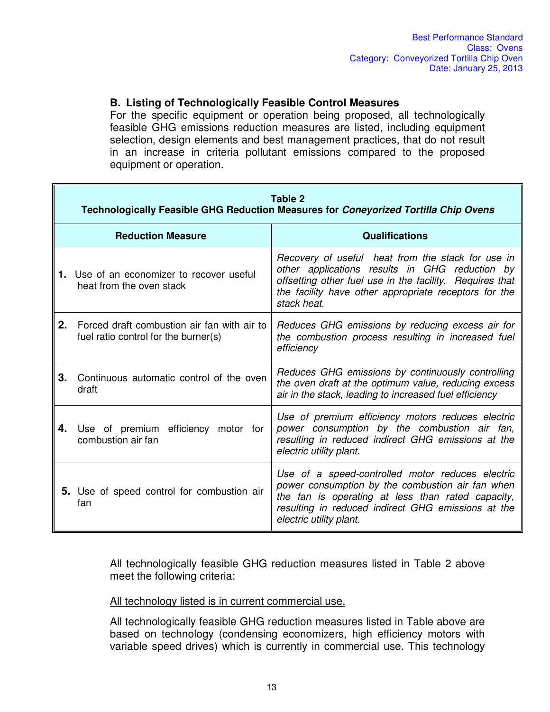### **B. Listing of Technologically Feasible Control Measures**

For the specific equipment or operation being proposed, all technologically feasible GHG emissions reduction measures are listed, including equipment selection, design elements and best management practices, that do not result in an increase in criteria pollutant emissions compared to the proposed equipment or operation.

|    | Table 2<br><b>Technologically Feasible GHG Reduction Measures for Coneyorized Tortilla Chip Ovens</b> |                                                                                                                                                                                                                                            |  |
|----|-------------------------------------------------------------------------------------------------------|--------------------------------------------------------------------------------------------------------------------------------------------------------------------------------------------------------------------------------------------|--|
|    | <b>Reduction Measure</b>                                                                              | <b>Qualifications</b>                                                                                                                                                                                                                      |  |
|    | 1. Use of an economizer to recover useful<br>heat from the oven stack                                 | Recovery of useful heat from the stack for use in<br>other applications results in GHG reduction by<br>offsetting other fuel use in the facility. Requires that<br>the facility have other appropriate receptors for the<br>stack heat.    |  |
| 2. | Forced draft combustion air fan with air to<br>fuel ratio control for the burner(s)                   | Reduces GHG emissions by reducing excess air for<br>the combustion process resulting in increased fuel<br>efficiency                                                                                                                       |  |
| 3. | Continuous automatic control of the oven<br>draft                                                     | Reduces GHG emissions by continuously controlling<br>the oven draft at the optimum value, reducing excess<br>air in the stack, leading to increased fuel efficiency                                                                        |  |
| 4. | Use of premium efficiency motor for<br>combustion air fan                                             | Use of premium efficiency motors reduces electric<br>power consumption by the combustion air fan,<br>resulting in reduced indirect GHG emissions at the<br>electric utility plant.                                                         |  |
|    | 5. Use of speed control for combustion air<br>fan                                                     | Use of a speed-controlled motor reduces electric<br>power consumption by the combustion air fan when<br>the fan is operating at less than rated capacity,<br>resulting in reduced indirect GHG emissions at the<br>electric utility plant. |  |

All technologically feasible GHG reduction measures listed in Table 2 above meet the following criteria:

All technology listed is in current commercial use.

All technologically feasible GHG reduction measures listed in Table above are based on technology (condensing economizers, high efficiency motors with variable speed drives) which is currently in commercial use. This technology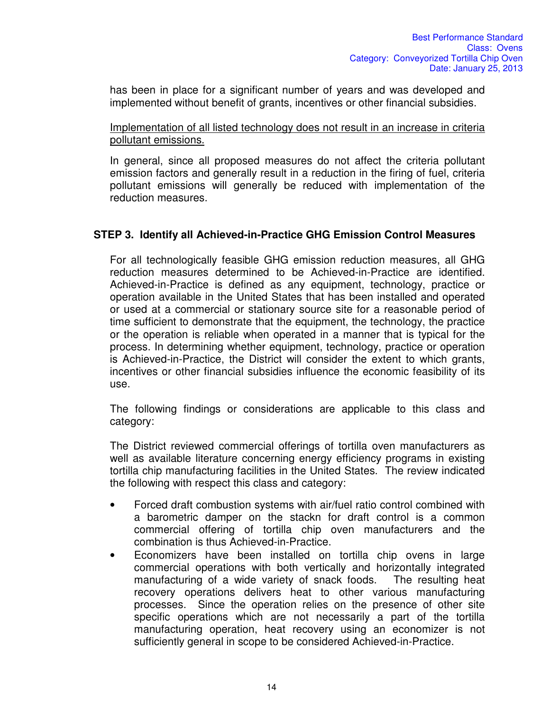has been in place for a significant number of years and was developed and implemented without benefit of grants, incentives or other financial subsidies.

Implementation of all listed technology does not result in an increase in criteria pollutant emissions.

In general, since all proposed measures do not affect the criteria pollutant emission factors and generally result in a reduction in the firing of fuel, criteria pollutant emissions will generally be reduced with implementation of the reduction measures.

### **STEP 3. Identify all Achieved-in-Practice GHG Emission Control Measures**

For all technologically feasible GHG emission reduction measures, all GHG reduction measures determined to be Achieved-in-Practice are identified. Achieved-in-Practice is defined as any equipment, technology, practice or operation available in the United States that has been installed and operated or used at a commercial or stationary source site for a reasonable period of time sufficient to demonstrate that the equipment, the technology, the practice or the operation is reliable when operated in a manner that is typical for the process. In determining whether equipment, technology, practice or operation is Achieved-in-Practice, the District will consider the extent to which grants, incentives or other financial subsidies influence the economic feasibility of its use.

The following findings or considerations are applicable to this class and category:

The District reviewed commercial offerings of tortilla oven manufacturers as well as available literature concerning energy efficiency programs in existing tortilla chip manufacturing facilities in the United States. The review indicated the following with respect this class and category:

- Forced draft combustion systems with air/fuel ratio control combined with a barometric damper on the stackn for draft control is a common commercial offering of tortilla chip oven manufacturers and the combination is thus Achieved-in-Practice.
- Economizers have been installed on tortilla chip ovens in large commercial operations with both vertically and horizontally integrated manufacturing of a wide variety of snack foods. The resulting heat recovery operations delivers heat to other various manufacturing processes. Since the operation relies on the presence of other site specific operations which are not necessarily a part of the tortilla manufacturing operation, heat recovery using an economizer is not sufficiently general in scope to be considered Achieved-in-Practice.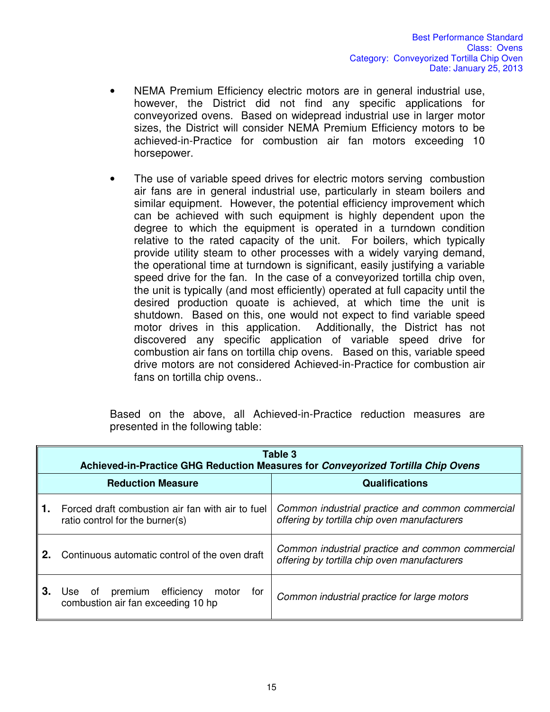- NEMA Premium Efficiency electric motors are in general industrial use, however, the District did not find any specific applications for conveyorized ovens. Based on widepread industrial use in larger motor sizes, the District will consider NEMA Premium Efficiency motors to be achieved-in-Practice for combustion air fan motors exceeding 10 horsepower.
- The use of variable speed drives for electric motors serving combustion air fans are in general industrial use, particularly in steam boilers and similar equipment. However, the potential efficiency improvement which can be achieved with such equipment is highly dependent upon the degree to which the equipment is operated in a turndown condition relative to the rated capacity of the unit. For boilers, which typically provide utility steam to other processes with a widely varying demand, the operational time at turndown is significant, easily justifying a variable speed drive for the fan. In the case of a conveyorized tortilla chip oven, the unit is typically (and most efficiently) operated at full capacity until the desired production quoate is achieved, at which time the unit is shutdown. Based on this, one would not expect to find variable speed motor drives in this application. Additionally, the District has not discovered any specific application of variable speed drive for combustion air fans on tortilla chip ovens. Based on this, variable speed drive motors are not considered Achieved-in-Practice for combustion air fans on tortilla chip ovens..

Based on the above, all Achieved-in-Practice reduction measures are presented in the following table:

|     | Table 3<br>Achieved-in-Practice GHG Reduction Measures for Conveyorized Tortilla Chip Ovens |                                                                                                  |  |
|-----|---------------------------------------------------------------------------------------------|--------------------------------------------------------------------------------------------------|--|
|     | <b>Reduction Measure</b>                                                                    | <b>Qualifications</b>                                                                            |  |
| ∥1. | Forced draft combustion air fan with air to fuel<br>ratio control for the burner(s)         | Common industrial practice and common commercial<br>offering by tortilla chip oven manufacturers |  |
| 2.  | Continuous automatic control of the oven draft                                              | Common industrial practice and common commercial<br>offering by tortilla chip oven manufacturers |  |
| З.  | premium efficiency<br>of<br>motor<br>tor<br>Use:<br>combustion air fan exceeding 10 hp      | Common industrial practice for large motors                                                      |  |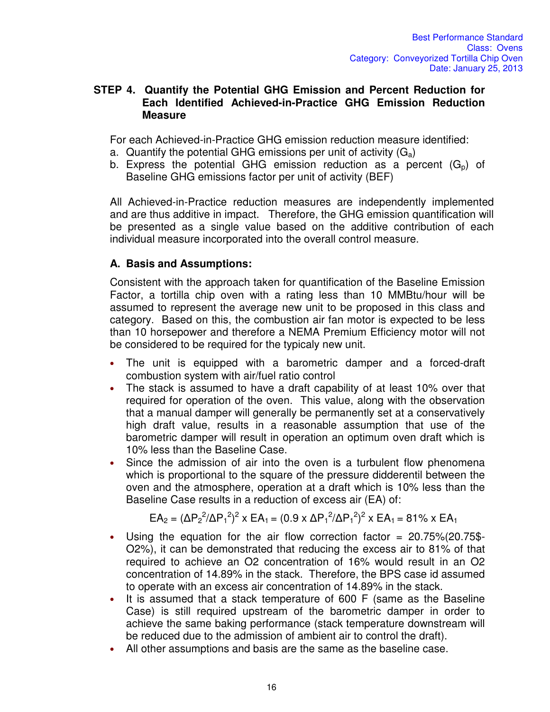#### **STEP 4. Quantify the Potential GHG Emission and Percent Reduction for Each Identified Achieved-in-Practice GHG Emission Reduction Measure**

For each Achieved-in-Practice GHG emission reduction measure identified:

- a. Quantify the potential GHG emissions per unit of activity  $(G_a)$
- b. Express the potential GHG emission reduction as a percent  $(G_n)$  of Baseline GHG emissions factor per unit of activity (BEF)

All Achieved-in-Practice reduction measures are independently implemented and are thus additive in impact. Therefore, the GHG emission quantification will be presented as a single value based on the additive contribution of each individual measure incorporated into the overall control measure.

## **A. Basis and Assumptions:**

Consistent with the approach taken for quantification of the Baseline Emission Factor, a tortilla chip oven with a rating less than 10 MMBtu/hour will be assumed to represent the average new unit to be proposed in this class and category. Based on this, the combustion air fan motor is expected to be less than 10 horsepower and therefore a NEMA Premium Efficiency motor will not be considered to be required for the typicaly new unit.

- The unit is equipped with a barometric damper and a forced-draft combustion system with air/fuel ratio control
- The stack is assumed to have a draft capability of at least 10% over that required for operation of the oven. This value, along with the observation that a manual damper will generally be permanently set at a conservatively high draft value, results in a reasonable assumption that use of the barometric damper will result in operation an optimum oven draft which is 10% less than the Baseline Case.
- Since the admission of air into the oven is a turbulent flow phenomena which is proportional to the square of the pressure didderentil between the oven and the atmosphere, operation at a draft which is 10% less than the Baseline Case results in a reduction of excess air (EA) of:

$$
EA_2 = (\Delta P_2^2/\Delta P_1^2)^2 \times EA_1 = (0.9 \times \Delta P_1^2/\Delta P_1^2)^2 \times EA_1 = 81\% \times EA_1
$$

- Using the equation for the air flow correction factor  $= 20.75\frac{1}{2}$  (20.75\$-O2%), it can be demonstrated that reducing the excess air to 81% of that required to achieve an O2 concentration of 16% would result in an O2 concentration of 14.89% in the stack. Therefore, the BPS case id assumed to operate with an excess air concentration of 14.89% in the stack.
- It is assumed that a stack temperature of 600 F (same as the Baseline Case) is still required upstream of the barometric damper in order to achieve the same baking performance (stack temperature downstream will be reduced due to the admission of ambient air to control the draft).
- All other assumptions and basis are the same as the baseline case.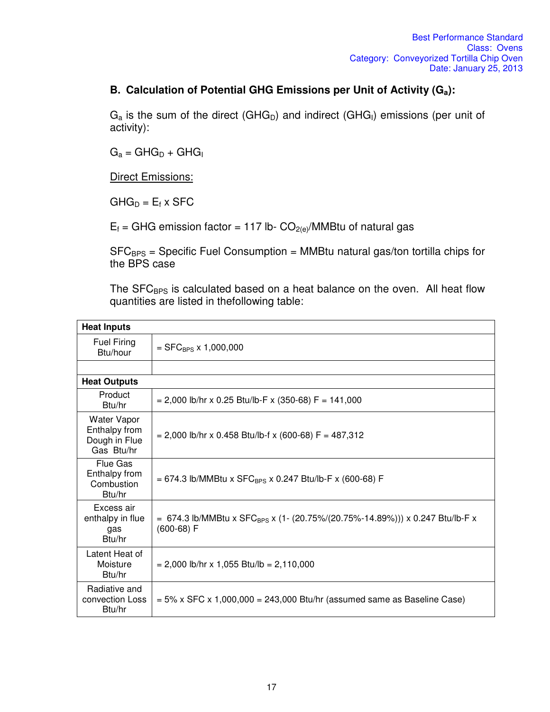### **B. Calculation of Potential GHG Emissions per Unit of Activity (Ga):**

 $G_a$  is the sum of the direct (GHG<sub>D</sub>) and indirect (GHG<sub>I</sub>) emissions (per unit of activity):

 $G_a = GHG_D + GHG_I$ 

**Direct Emissions:** 

 $GHG_D = E_f \times SFC$ 

 $E_f$  = GHG emission factor = 117 lb-  $CO_{2(e)}/MMB$ tu of natural gas

 $SFC_{BPS}$  = Specific Fuel Consumption = MMBtu natural gas/ton tortilla chips for the BPS case

The SFC<sub>BPS</sub> is calculated based on a heat balance on the oven. All heat flow quantities are listed in thefollowing table:

| <b>Heat Inputs</b>                                                 |                                                                                                          |  |
|--------------------------------------------------------------------|----------------------------------------------------------------------------------------------------------|--|
| <b>Fuel Firing</b><br>Btu/hour                                     | $=$ SFC <sub>BPS</sub> x 1,000,000                                                                       |  |
|                                                                    |                                                                                                          |  |
| <b>Heat Outputs</b>                                                |                                                                                                          |  |
| Product<br>Btu/hr                                                  | $= 2,000$ lb/hr x 0.25 Btu/lb-F x (350-68) F = 141,000                                                   |  |
| <b>Water Vapor</b><br>Enthalpy from<br>Dough in Flue<br>Gas Btu/hr | $= 2,000$ lb/hr x 0.458 Btu/lb-f x (600-68) F = 487,312                                                  |  |
| Flue Gas<br>Enthalpy from<br>Combustion<br>Btu/hr                  | = 674.3 lb/MMBtu x SFC <sub>BPS</sub> x 0.247 Btu/lb-F x (600-68) F                                      |  |
| Excess air<br>enthalpy in flue<br>gas<br>Btu/hr                    | = 674.3 lb/MMBtu x SFC <sub>BPS</sub> x (1- (20.75%/(20.75%-14.89%))) x 0.247 Btu/lb-F x<br>$(600-68) F$ |  |
| Latent Heat of<br>Moisture<br>Btu/hr                               | $= 2,000$ lb/hr x 1,055 Btu/lb = 2,110,000                                                               |  |
| Radiative and<br>convection Loss<br>Btu/hr                         | $= 5\%$ x SFC x 1,000,000 = 243,000 Btu/hr (assumed same as Baseline Case)                               |  |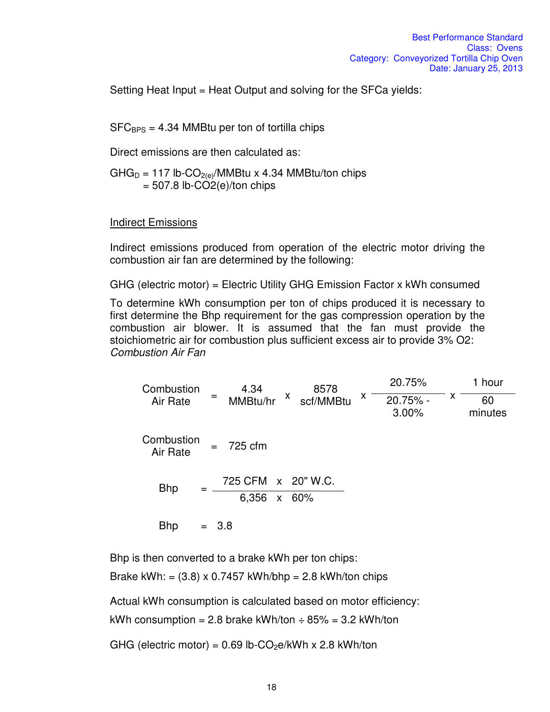Setting Heat Input = Heat Output and solving for the SFCa yields:

 $SFC_{BPS} = 4.34$  MMBtu per ton of tortilla chips

Direct emissions are then calculated as:

 $GHG_D = 117$  lb-CO<sub>2(e)</sub>/MMBtu x 4.34 MMBtu/ton chips  $= 507.8$  lb-CO2(e)/ton chips

Indirect Emissions

Indirect emissions produced from operation of the electric motor driving the combustion air fan are determined by the following:

GHG (electric motor) = Electric Utility GHG Emission Factor x kWh consumed

To determine kWh consumption per ton of chips produced it is necessary to first determine the Bhp requirement for the gas compression operation by the combustion air blower. It is assumed that the fan must provide the stoichiometric air for combustion plus sufficient excess air to provide 3% O2: *Combustion Air Fan* 

Combustion Air Rate <sup>=</sup> 4.34 MMBtu/hr <sup>x</sup> 8578 scf/MMBtu <sup>x</sup> 20.75% x 20.75% - 1 hour 3.00% 60 minutes Combustion Air Rate = 725 cfm  $Bhp = \frac{725 \text{ CFM} \times 20^{\circ} \text{W.C.}}{250 \text{ FM} \times 20^{\circ} \text{C}}$ 6,356 x 60% Bhp  $= 3.8$ 

Bhp is then converted to a brake kWh per ton chips:

Brake kWh: =  $(3.8)$  x 0.7457 kWh/bhp = 2.8 kWh/ton chips

Actual kWh consumption is calculated based on motor efficiency:

kWh consumption = 2.8 brake kWh/ton  $\div$  85% = 3.2 kWh/ton

GHG (electric motor) =  $0.69$  lb-CO<sub>2</sub>e/kWh x 2.8 kWh/ton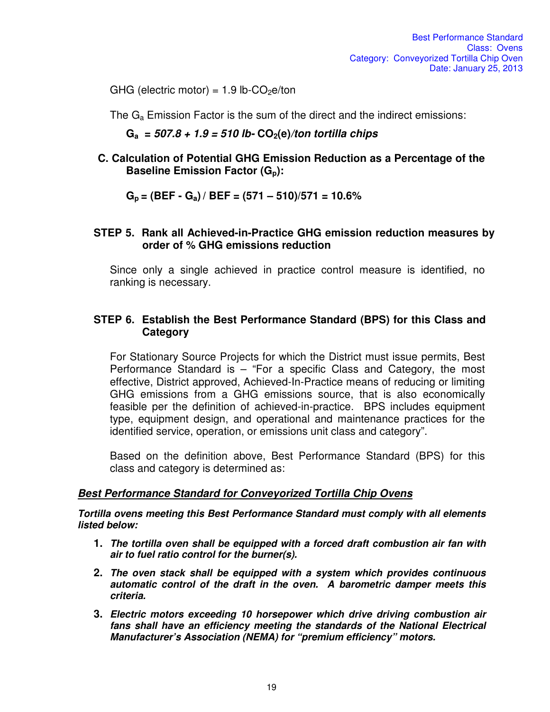GHG (electric motor) =  $1.9$  lb-CO<sub>2</sub>e/ton

The  $G_a$  Emission Factor is the sum of the direct and the indirect emissions:

**Ga =** *507.8 + 1.9 = 510 lb-* **CO2(e)***/ton tortilla chips*

**C. Calculation of Potential GHG Emission Reduction as a Percentage of the Baseline Emission Factor (Gp):** 

**Gp = (BEF - Ga) / BEF = (571 – 510)/571 = 10.6%** 

#### **STEP 5. Rank all Achieved-in-Practice GHG emission reduction measures by order of % GHG emissions reduction**

Since only a single achieved in practice control measure is identified, no ranking is necessary.

### **STEP 6. Establish the Best Performance Standard (BPS) for this Class and Category**

For Stationary Source Projects for which the District must issue permits, Best Performance Standard is – "For a specific Class and Category, the most effective, District approved, Achieved-In-Practice means of reducing or limiting GHG emissions from a GHG emissions source, that is also economically feasible per the definition of achieved-in-practice. BPS includes equipment type, equipment design, and operational and maintenance practices for the identified service, operation, or emissions unit class and category".

Based on the definition above, Best Performance Standard (BPS) for this class and category is determined as:

#### *Best Performance Standard for Conveyorized Tortilla Chip Ovens*

*Tortilla ovens meeting this Best Performance Standard must comply with all elements listed below:* 

- **1.** *The tortilla oven shall be equipped with a forced draft combustion air fan with air to fuel ratio control for the burner(s).*
- **2.** *The oven stack shall be equipped with a system which provides continuous automatic control of the draft in the oven. A barometric damper meets this criteria.*
- **3.** *Electric motors exceeding 10 horsepower which drive driving combustion air fans shall have an efficiency meeting the standards of the National Electrical Manufacturer's Association (NEMA) for "premium efficiency" motors.*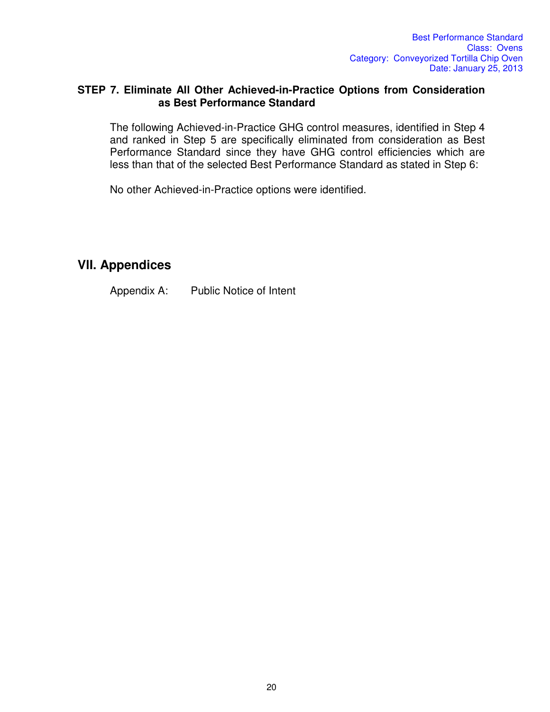#### **STEP 7. Eliminate All Other Achieved-in-Practice Options from Consideration as Best Performance Standard**

The following Achieved-in-Practice GHG control measures, identified in Step 4 and ranked in Step 5 are specifically eliminated from consideration as Best Performance Standard since they have GHG control efficiencies which are less than that of the selected Best Performance Standard as stated in Step 6:

No other Achieved-in-Practice options were identified.

## **VlI. Appendices**

Appendix A: Public Notice of Intent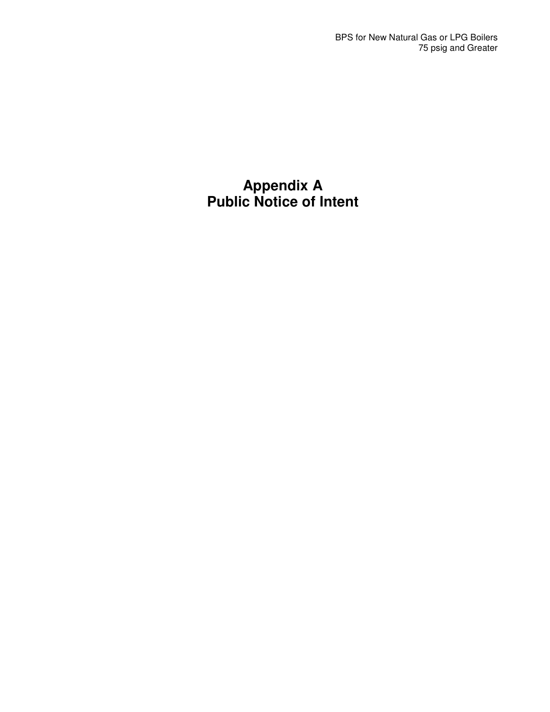# **Appendix A Public Notice of Intent**